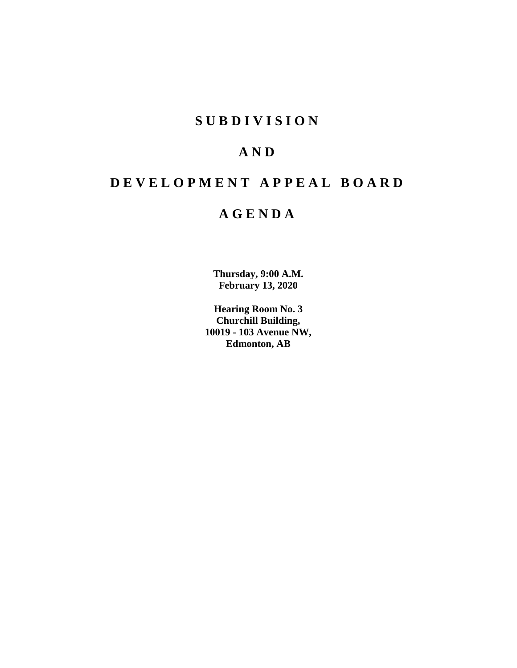# **S U B D I V I S I O N**

# **A N D**

# **D E V E L O P M E N T A P P E A L B O A R D**

# **A G E N D A**

**Thursday, 9:00 A.M. February 13, 2020**

**Hearing Room No. 3 Churchill Building, 10019 - 103 Avenue NW, Edmonton, AB**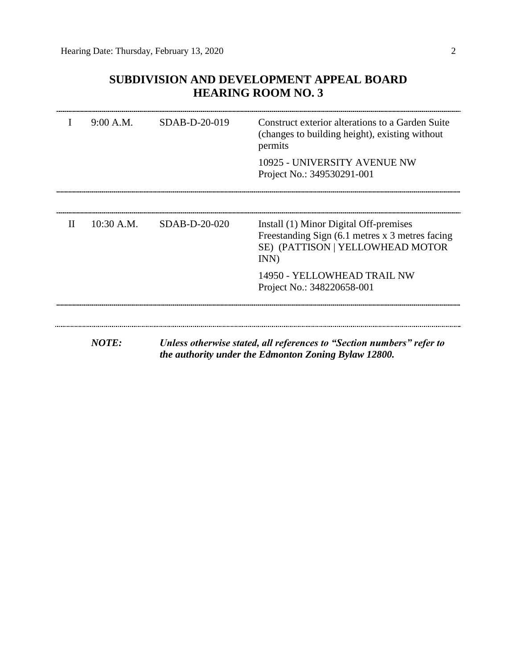# **SUBDIVISION AND DEVELOPMENT APPEAL BOARD HEARING ROOM NO. 3**

|              | 9:00 A.M.    | $SDAB-D-20-019$ | Construct exterior alterations to a Garden Suite<br>(changes to building height), existing without<br>permits                         |
|--------------|--------------|-----------------|---------------------------------------------------------------------------------------------------------------------------------------|
|              |              |                 | 10925 - UNIVERSITY AVENUE NW<br>Project No.: 349530291-001                                                                            |
| $\mathbf{H}$ | $10:30$ A.M. | $SDAB-D-20-020$ | Install (1) Minor Digital Off-premises<br>Freestanding Sign (6.1 metres x 3 metres facing<br>SE) (PATTISON   YELLOWHEAD MOTOR<br>INN) |
|              |              |                 | 14950 - YELLOWHEAD TRAIL NW<br>Project No.: 348220658-001                                                                             |
|              |              |                 |                                                                                                                                       |
|              | <b>NOTE:</b> |                 | Unless otherwise stated, all references to "Section numbers" refer to<br>the authority under the Edmonton Zoning Bylaw 12800.         |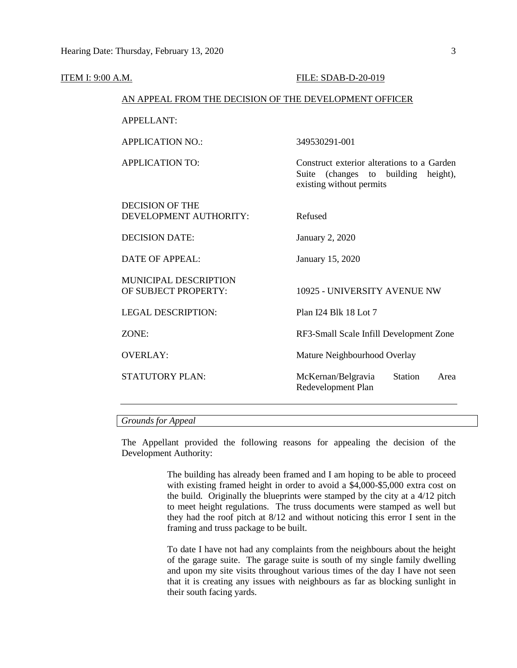| <b>ITEM I: 9:00 A.M.</b> |                                                        | FILE: SDAB-D-20-019                                                                                              |
|--------------------------|--------------------------------------------------------|------------------------------------------------------------------------------------------------------------------|
|                          | AN APPEAL FROM THE DECISION OF THE DEVELOPMENT OFFICER |                                                                                                                  |
|                          | <b>APPELLANT:</b>                                      |                                                                                                                  |
|                          | <b>APPLICATION NO.:</b>                                | 349530291-001                                                                                                    |
|                          | <b>APPLICATION TO:</b>                                 | Construct exterior alterations to a Garden<br>Suite (changes to building<br>height),<br>existing without permits |
|                          | <b>DECISION OF THE</b><br>DEVELOPMENT AUTHORITY:       | Refused                                                                                                          |
|                          | <b>DECISION DATE:</b>                                  | January 2, 2020                                                                                                  |
|                          | <b>DATE OF APPEAL:</b>                                 | January 15, 2020                                                                                                 |
|                          | <b>MUNICIPAL DESCRIPTION</b><br>OF SUBJECT PROPERTY:   | 10925 - UNIVERSITY AVENUE NW                                                                                     |
|                          | <b>LEGAL DESCRIPTION:</b>                              | Plan I24 Blk 18 Lot 7                                                                                            |
|                          | ZONE:                                                  | RF3-Small Scale Infill Development Zone                                                                          |
|                          | <b>OVERLAY:</b>                                        | Mature Neighbourhood Overlay                                                                                     |
|                          | STATUTORY PLAN:                                        | McKernan/Belgravia<br>Station<br>Area<br>Redevelopment Plan                                                      |
|                          |                                                        |                                                                                                                  |

# *Grounds for Appeal*

The Appellant provided the following reasons for appealing the decision of the Development Authority:

> The building has already been framed and I am hoping to be able to proceed with existing framed height in order to avoid a \$4,000-\$5,000 extra cost on the build. Originally the blueprints were stamped by the city at a 4/12 pitch to meet height regulations. The truss documents were stamped as well but they had the roof pitch at 8/12 and without noticing this error I sent in the framing and truss package to be built.

> To date I have not had any complaints from the neighbours about the height of the garage suite. The garage suite is south of my single family dwelling and upon my site visits throughout various times of the day I have not seen that it is creating any issues with neighbours as far as blocking sunlight in their south facing yards.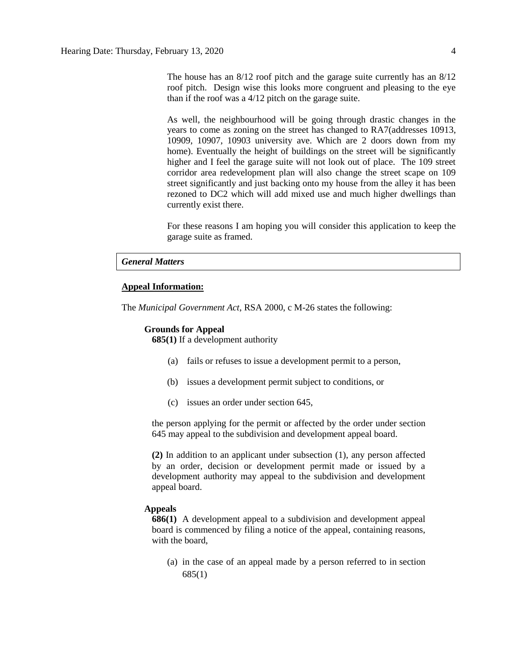The house has an 8/12 roof pitch and the garage suite currently has an 8/12 roof pitch. Design wise this looks more congruent and pleasing to the eye than if the roof was a 4/12 pitch on the garage suite.

As well, the neighbourhood will be going through drastic changes in the years to come as zoning on the street has changed to RA7(addresses 10913, 10909, 10907, 10903 university ave. Which are 2 doors down from my home). Eventually the height of buildings on the street will be significantly higher and I feel the garage suite will not look out of place. The 109 street corridor area redevelopment plan will also change the street scape on 109 street significantly and just backing onto my house from the alley it has been rezoned to DC2 which will add mixed use and much higher dwellings than currently exist there.

For these reasons I am hoping you will consider this application to keep the garage suite as framed.

### *General Matters*

#### **Appeal Information:**

The *Municipal Government Act*, RSA 2000, c M-26 states the following:

#### **Grounds for Appeal**

**685(1)** If a development authority

- (a) fails or refuses to issue a development permit to a person,
- (b) issues a development permit subject to conditions, or
- (c) issues an order under section 645,

the person applying for the permit or affected by the order under section 645 may appeal to the subdivision and development appeal board.

**(2)** In addition to an applicant under subsection (1), any person affected by an order, decision or development permit made or issued by a development authority may appeal to the subdivision and development appeal board.

#### **Appeals**

**686(1)** A development appeal to a subdivision and development appeal board is commenced by filing a notice of the appeal, containing reasons, with the board,

(a) in the case of an appeal made by a person referred to in section 685(1)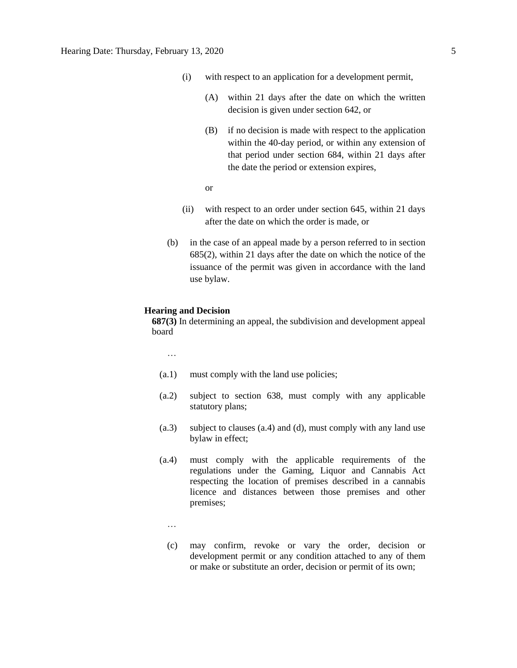- (i) with respect to an application for a development permit,
	- (A) within 21 days after the date on which the written decision is given under section 642, or
	- (B) if no decision is made with respect to the application within the 40-day period, or within any extension of that period under section 684, within 21 days after the date the period or extension expires,
	- or
- (ii) with respect to an order under section 645, within 21 days after the date on which the order is made, or
- (b) in the case of an appeal made by a person referred to in section 685(2), within 21 days after the date on which the notice of the issuance of the permit was given in accordance with the land use bylaw.

### **Hearing and Decision**

**687(3)** In determining an appeal, the subdivision and development appeal board

…

- (a.1) must comply with the land use policies;
- (a.2) subject to section 638, must comply with any applicable statutory plans;
- (a.3) subject to clauses (a.4) and (d), must comply with any land use bylaw in effect;
- (a.4) must comply with the applicable requirements of the regulations under the Gaming, Liquor and Cannabis Act respecting the location of premises described in a cannabis licence and distances between those premises and other premises;
	- …
	- (c) may confirm, revoke or vary the order, decision or development permit or any condition attached to any of them or make or substitute an order, decision or permit of its own;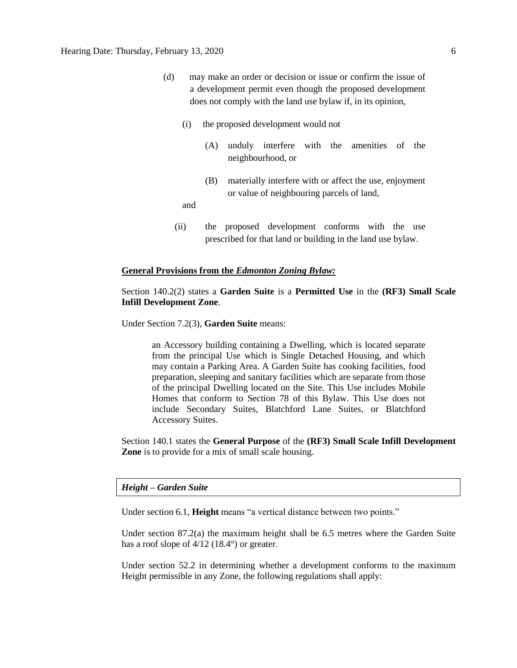- (d) may make an order or decision or issue or confirm the issue of a development permit even though the proposed development does not comply with the land use bylaw if, in its opinion,
	- (i) the proposed development would not
		- (A) unduly interfere with the amenities of the neighbourhood, or
		- (B) materially interfere with or affect the use, enjoyment or value of neighbouring parcels of land,

and

(ii) the proposed development conforms with the use prescribed for that land or building in the land use bylaw.

#### **General Provisions from the** *Edmonton Zoning Bylaw:*

# Section 140.2(2) states a **Garden Suite** is a **Permitted Use** in the **(RF3) Small Scale Infill Development Zone**.

Under Section 7.2(3), **Garden Suite** means:

an Accessory building containing a Dwelling, which is located separate from the principal Use which is Single Detached Housing, and which may contain a Parking Area. A Garden Suite has cooking facilities, food preparation, sleeping and sanitary facilities which are separate from those of the principal Dwelling located on the Site. This Use includes Mobile Homes that conform to Section 78 of this Bylaw. This Use does not include Secondary Suites, Blatchford Lane Suites, or Blatchford Accessory Suites.

Section 140.1 states the **General Purpose** of the **(RF3) Small Scale Infill Development Zone** is to provide for a mix of small scale housing.

#### *Height – Garden Suite*

Under section 6.1, **Height** means "a vertical distance between two points."

Under section  $87.2(a)$  the maximum height shall be 6.5 metres where the Garden Suite has a roof slope of  $4/12$  (18.4°) or greater.

Under section 52.2 in determining whether a development conforms to the maximum Height permissible in any Zone, the following regulations shall apply: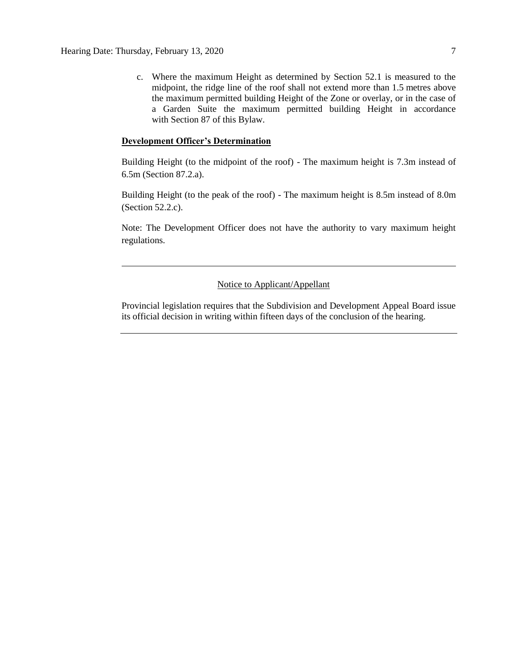c. Where the maximum Height as determined by Section 52.1 is measured to the midpoint, the ridge line of the roof shall not extend more than 1.5 metres above the maximum permitted building Height of the Zone or overlay, or in the case of a Garden Suite the maximum permitted building Height in accordance with Section 87 of this Bylaw.

# **Development Officer's Determination**

Building Height (to the midpoint of the roof) - The maximum height is 7.3m instead of 6.5m (Section 87.2.a).

Building Height (to the peak of the roof) - The maximum height is 8.5m instead of 8.0m (Section 52.2.c).

Note: The Development Officer does not have the authority to vary maximum height regulations.

# Notice to Applicant/Appellant

Provincial legislation requires that the Subdivision and Development Appeal Board issue its official decision in writing within fifteen days of the conclusion of the hearing.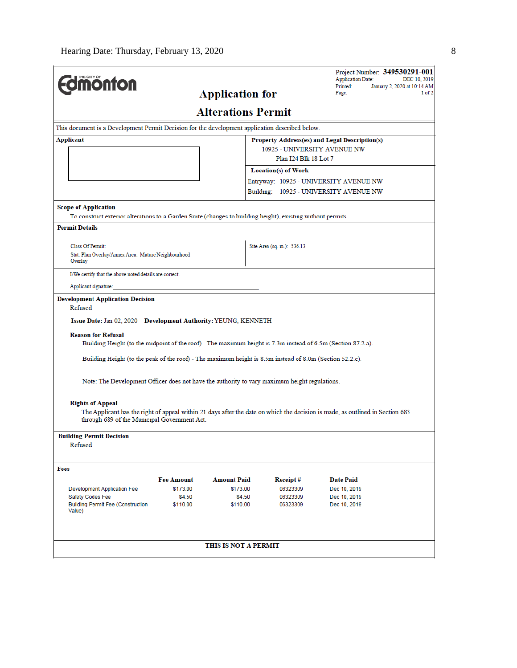| <b><i><u><u><b>M</b>onton</u></u></i></b>                                                                                                                                                                                                                                                                               |                    |                           |                              | Project Number: 349530291-001<br><b>Application Date:</b>                                                                     | DEC 10, 2019                          |
|-------------------------------------------------------------------------------------------------------------------------------------------------------------------------------------------------------------------------------------------------------------------------------------------------------------------------|--------------------|---------------------------|------------------------------|-------------------------------------------------------------------------------------------------------------------------------|---------------------------------------|
|                                                                                                                                                                                                                                                                                                                         |                    | <b>Application for</b>    |                              | Printed:<br>Page:                                                                                                             | January 2, 2020 at 10:14 AM<br>1 of 2 |
|                                                                                                                                                                                                                                                                                                                         |                    | <b>Alterations Permit</b> |                              |                                                                                                                               |                                       |
| This document is a Development Permit Decision for the development application described below.                                                                                                                                                                                                                         |                    |                           |                              |                                                                                                                               |                                       |
| Applicant                                                                                                                                                                                                                                                                                                               |                    |                           |                              | Property Address(es) and Legal Description(s)                                                                                 |                                       |
|                                                                                                                                                                                                                                                                                                                         |                    |                           | 10925 - UNIVERSITY AVENUE NW |                                                                                                                               |                                       |
|                                                                                                                                                                                                                                                                                                                         |                    |                           | Plan I24 Blk 18 Lot 7        |                                                                                                                               |                                       |
|                                                                                                                                                                                                                                                                                                                         |                    |                           | <b>Location(s) of Work</b>   |                                                                                                                               |                                       |
|                                                                                                                                                                                                                                                                                                                         |                    |                           |                              | Entryway: 10925 - UNIVERSITY AVENUE NW                                                                                        |                                       |
|                                                                                                                                                                                                                                                                                                                         |                    |                           |                              | Building: 10925 - UNIVERSITY AVENUE NW                                                                                        |                                       |
| <b>Scope of Application</b>                                                                                                                                                                                                                                                                                             |                    |                           |                              |                                                                                                                               |                                       |
| To construct exterior alterations to a Garden Suite (changes to building height), existing without permits.                                                                                                                                                                                                             |                    |                           |                              |                                                                                                                               |                                       |
| <b>Permit Details</b>                                                                                                                                                                                                                                                                                                   |                    |                           |                              |                                                                                                                               |                                       |
| Class Of Permit:                                                                                                                                                                                                                                                                                                        |                    |                           | Site Area (sq. m.): 536.13   |                                                                                                                               |                                       |
| Stat. Plan Overlay/Annex Area: Mature Neighbourhood<br>Overlay                                                                                                                                                                                                                                                          |                    |                           |                              |                                                                                                                               |                                       |
| I/We certify that the above noted details are correct.                                                                                                                                                                                                                                                                  |                    |                           |                              |                                                                                                                               |                                       |
| Applicant signature:                                                                                                                                                                                                                                                                                                    |                    |                           |                              |                                                                                                                               |                                       |
| Issue Date: Jan 02, 2020 Development Authority: YEUNG, KENNETH<br><b>Reason for Refusal</b><br>Building Height (to the midpoint of the roof) - The maximum height is 7.3m instead of 6.5m (Section 87.2.a).<br>Building Height (to the peak of the roof) - The maximum height is 8.5m instead of 8.0m (Section 52.2.c). |                    |                           |                              |                                                                                                                               |                                       |
| Note: The Development Officer does not have the authority to vary maximum height regulations.                                                                                                                                                                                                                           |                    |                           |                              |                                                                                                                               |                                       |
| <b>Rights of Appeal</b><br>through 689 of the Municipal Government Act.<br><b>Building Permit Decision</b><br>Refused                                                                                                                                                                                                   |                    |                           |                              | The Applicant has the right of appeal within 21 days after the date on which the decision is made, as outlined in Section 683 |                                       |
| Fees                                                                                                                                                                                                                                                                                                                    |                    |                           |                              |                                                                                                                               |                                       |
|                                                                                                                                                                                                                                                                                                                         | <b>Fee Amount</b>  | <b>Amount Paid</b>        | Receipt#                     | <b>Date Paid</b>                                                                                                              |                                       |
| <b>Development Application Fee</b>                                                                                                                                                                                                                                                                                      | \$173.00           | \$173.00                  | 06323309                     | Dec 10, 2019                                                                                                                  |                                       |
| Safety Codes Fee<br><b>Building Permit Fee (Construction</b><br>Value)                                                                                                                                                                                                                                                  | \$4.50<br>\$110.00 | \$4.50<br>\$110.00        | 06323309<br>06323309         | Dec 10, 2019<br>Dec 10, 2019                                                                                                  |                                       |
|                                                                                                                                                                                                                                                                                                                         |                    | THIS IS NOT A PERMIT      |                              |                                                                                                                               |                                       |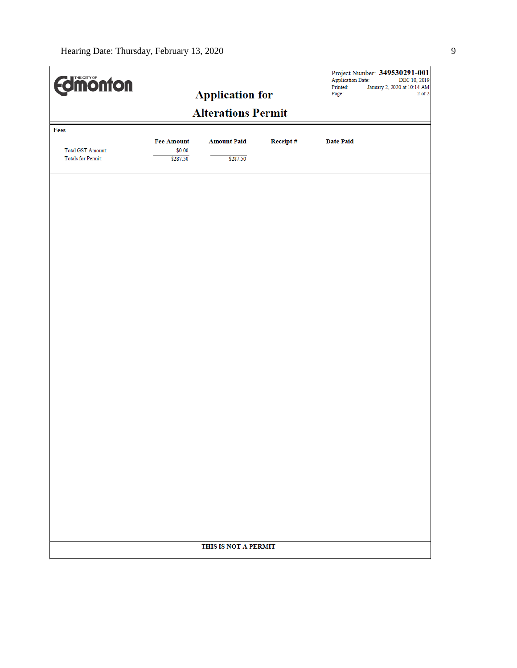| <b>Edinonton</b>                                      |                    |                           |          | <b>Application Date:</b><br>Printed: | Project Number: 349530291-001<br>DEC 10, 2019<br>January 2, 2020 at 10:14 AM |
|-------------------------------------------------------|--------------------|---------------------------|----------|--------------------------------------|------------------------------------------------------------------------------|
|                                                       |                    | <b>Application for</b>    |          | Page:                                | $2$ of $2$                                                                   |
|                                                       |                    | <b>Alterations Permit</b> |          |                                      |                                                                              |
| Fees                                                  |                    |                           |          |                                      |                                                                              |
|                                                       | <b>Fee Amount</b>  | <b>Amount Paid</b>        | Receipt# | <b>Date Paid</b>                     |                                                                              |
| <b>Total GST Amount:</b><br><b>Totals for Permit:</b> | \$0.00<br>\$287.50 | \$287.50                  |          |                                      |                                                                              |
|                                                       |                    |                           |          |                                      |                                                                              |
|                                                       |                    |                           |          |                                      |                                                                              |
|                                                       |                    |                           |          |                                      |                                                                              |
|                                                       |                    |                           |          |                                      |                                                                              |
|                                                       |                    |                           |          |                                      |                                                                              |
|                                                       |                    |                           |          |                                      |                                                                              |
|                                                       |                    |                           |          |                                      |                                                                              |
|                                                       |                    |                           |          |                                      |                                                                              |
|                                                       |                    |                           |          |                                      |                                                                              |
|                                                       |                    |                           |          |                                      |                                                                              |
|                                                       |                    |                           |          |                                      |                                                                              |
|                                                       |                    |                           |          |                                      |                                                                              |
|                                                       |                    |                           |          |                                      |                                                                              |
|                                                       |                    |                           |          |                                      |                                                                              |
|                                                       |                    |                           |          |                                      |                                                                              |
|                                                       |                    |                           |          |                                      |                                                                              |
|                                                       |                    |                           |          |                                      |                                                                              |
|                                                       |                    |                           |          |                                      |                                                                              |
|                                                       |                    |                           |          |                                      |                                                                              |
|                                                       |                    |                           |          |                                      |                                                                              |
|                                                       |                    |                           |          |                                      |                                                                              |
|                                                       |                    |                           |          |                                      |                                                                              |
|                                                       |                    |                           |          |                                      |                                                                              |
|                                                       |                    |                           |          |                                      |                                                                              |
|                                                       |                    |                           |          |                                      |                                                                              |
|                                                       |                    |                           |          |                                      |                                                                              |
|                                                       |                    |                           |          |                                      |                                                                              |
|                                                       |                    |                           |          |                                      |                                                                              |
|                                                       |                    | THIS IS NOT A PERMIT      |          |                                      |                                                                              |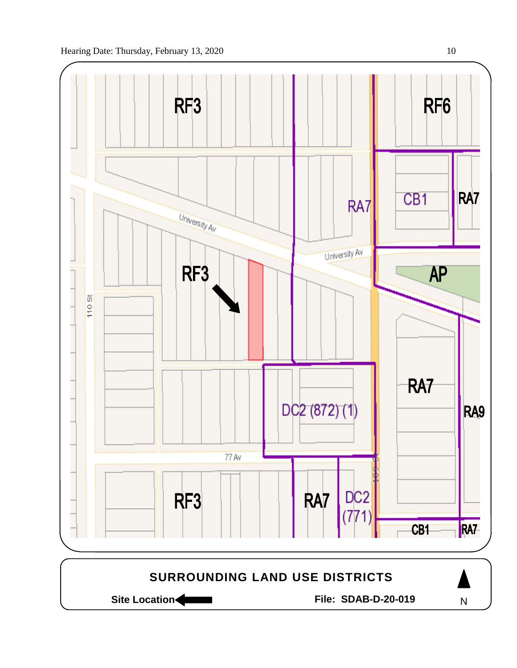

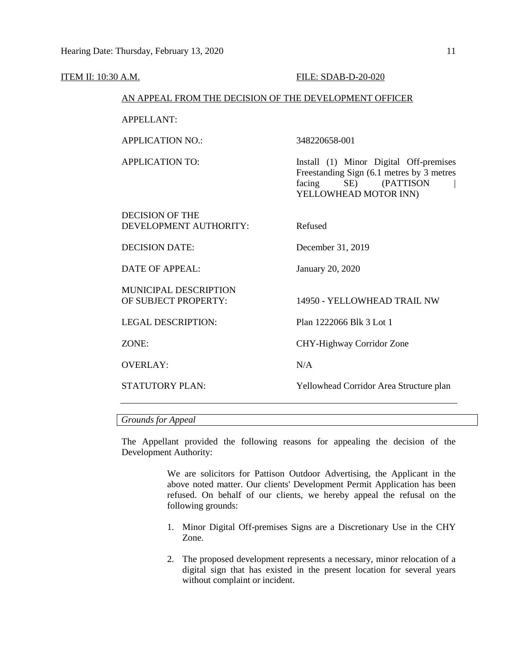| ITEM II: 10:30 A.M. |                                                        | <b>FILE: SDAB-D-20-020</b>                                                                                                              |
|---------------------|--------------------------------------------------------|-----------------------------------------------------------------------------------------------------------------------------------------|
|                     | AN APPEAL FROM THE DECISION OF THE DEVELOPMENT OFFICER |                                                                                                                                         |
|                     | <b>APPELLANT:</b>                                      |                                                                                                                                         |
|                     | <b>APPLICATION NO.:</b>                                | 348220658-001                                                                                                                           |
|                     | <b>APPLICATION TO:</b>                                 | Install (1) Minor Digital Off-premises<br>Freestanding Sign (6.1 metres by 3 metres<br>SE) (PATTISON<br>facing<br>YELLOWHEAD MOTOR INN) |
|                     | <b>DECISION OF THE</b><br>DEVELOPMENT AUTHORITY:       | Refused                                                                                                                                 |
|                     | <b>DECISION DATE:</b>                                  | December 31, 2019                                                                                                                       |
|                     | <b>DATE OF APPEAL:</b>                                 | January 20, 2020                                                                                                                        |
|                     | <b>MUNICIPAL DESCRIPTION</b><br>OF SUBJECT PROPERTY:   | 14950 - YELLOWHEAD TRAIL NW                                                                                                             |
|                     | <b>LEGAL DESCRIPTION:</b>                              | Plan 1222066 Blk 3 Lot 1                                                                                                                |
|                     | ZONE:                                                  | CHY-Highway Corridor Zone                                                                                                               |
|                     | <b>OVERLAY:</b>                                        | N/A                                                                                                                                     |
|                     | <b>STATUTORY PLAN:</b>                                 | Yellowhead Corridor Area Structure plan                                                                                                 |
|                     |                                                        |                                                                                                                                         |

# *Grounds for Appeal*

The Appellant provided the following reasons for appealing the decision of the Development Authority:

> We are solicitors for Pattison Outdoor Advertising, the Applicant in the above noted matter. Our clients' Development Permit Application has been refused. On behalf of our clients, we hereby appeal the refusal on the following grounds:

- 1. Minor Digital Off-premises Signs are a Discretionary Use in the CHY Zone.
- 2. The proposed development represents a necessary, minor relocation of a digital sign that has existed in the present location for several years without complaint or incident.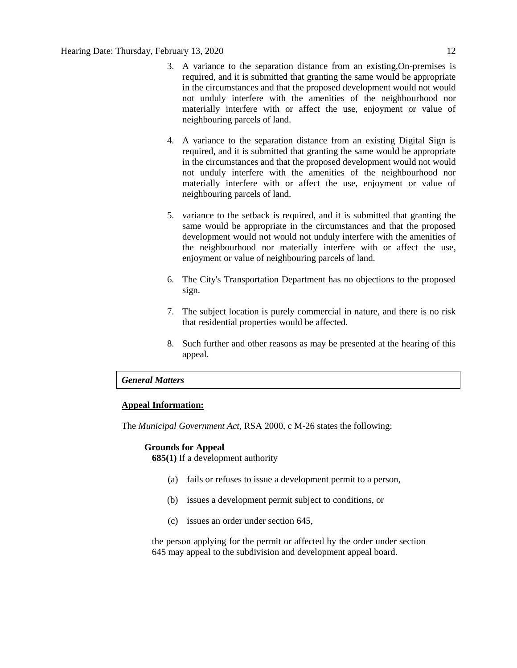- 3. A variance to the separation distance from an existing,On-premises is required, and it is submitted that granting the same would be appropriate in the circumstances and that the proposed development would not would not unduly interfere with the amenities of the neighbourhood nor materially interfere with or affect the use, enjoyment or value of neighbouring parcels of land.
- 4. A variance to the separation distance from an existing Digital Sign is required, and it is submitted that granting the same would be appropriate in the circumstances and that the proposed development would not would not unduly interfere with the amenities of the neighbourhood nor materially interfere with or affect the use, enjoyment or value of neighbouring parcels of land.
- 5. variance to the setback is required, and it is submitted that granting the same would be appropriate in the circumstances and that the proposed development would not would not unduly interfere with the amenities of the neighbourhood nor materially interfere with or affect the use, enjoyment or value of neighbouring parcels of land.
- 6. The City's Transportation Department has no objections to the proposed sign.
- 7. The subject location is purely commercial in nature, and there is no risk that residential properties would be affected.
- 8. Such further and other reasons as may be presented at the hearing of this appeal.

# *General Matters*

#### **Appeal Information:**

The *Municipal Government Act*, RSA 2000, c M-26 states the following:

#### **Grounds for Appeal**

**685(1)** If a development authority

- (a) fails or refuses to issue a development permit to a person,
- (b) issues a development permit subject to conditions, or
- (c) issues an order under section 645,

the person applying for the permit or affected by the order under section 645 may appeal to the subdivision and development appeal board.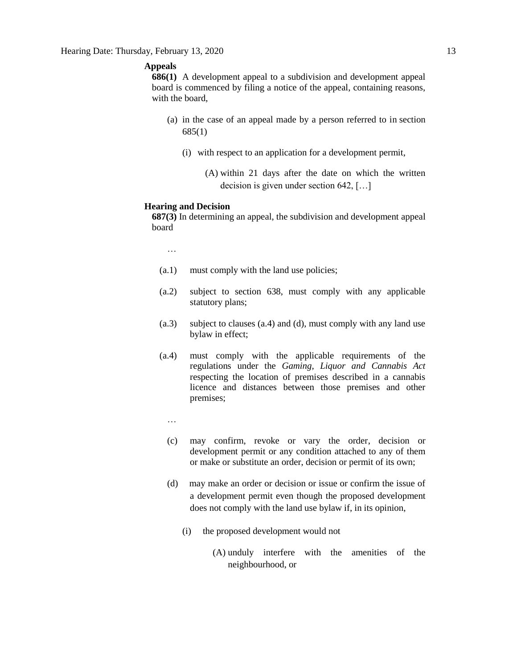### **Appeals**

**686(1)** A development appeal to a subdivision and development appeal board is commenced by filing a notice of the appeal, containing reasons, with the board,

- (a) in the case of an appeal made by a person referred to in section 685(1)
	- (i) with respect to an application for a development permit,
		- (A) within 21 days after the date on which the written decision is given under section 642, […]

#### **Hearing and Decision**

**687(3)** In determining an appeal, the subdivision and development appeal board

…

- (a.1) must comply with the land use policies;
- (a.2) subject to section 638, must comply with any applicable statutory plans;
- (a.3) subject to clauses (a.4) and (d), must comply with any land use bylaw in effect;
- (a.4) must comply with the applicable requirements of the regulations under the *Gaming, Liquor and Cannabis Act* respecting the location of premises described in a cannabis licence and distances between those premises and other premises;
	- …
	- (c) may confirm, revoke or vary the order, decision or development permit or any condition attached to any of them or make or substitute an order, decision or permit of its own;
	- (d) may make an order or decision or issue or confirm the issue of a development permit even though the proposed development does not comply with the land use bylaw if, in its opinion,
		- (i) the proposed development would not
			- (A) unduly interfere with the amenities of the neighbourhood, or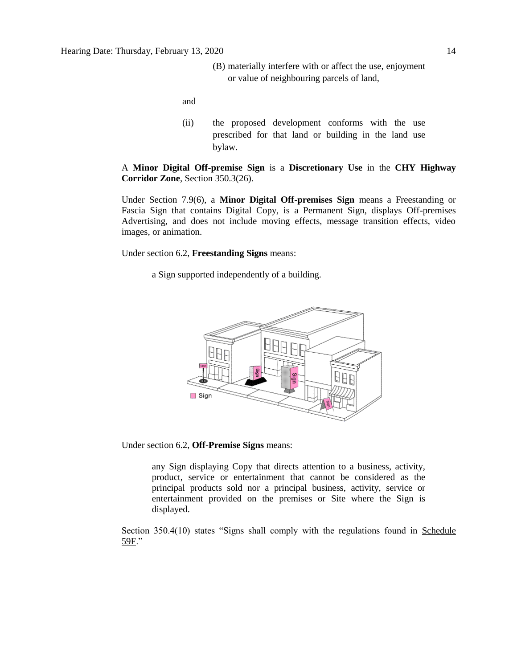(B) materially interfere with or affect the use, enjoyment or value of neighbouring parcels of land,

and

(ii) the proposed development conforms with the use prescribed for that land or building in the land use bylaw.

A **Minor Digital Off-premise Sign** is a **Discretionary Use** in the **CHY Highway Corridor Zone**, Section 350.3(26).

Under Section 7.9(6), a **Minor Digital Off-premises Sign** means a Freestanding or Fascia Sign that contains Digital Copy, is a Permanent Sign, displays Off-premises Advertising, and does not include moving effects, message transition effects, video images, or animation.

Under section 6.2, **Freestanding Signs** means:

a Sign supported independently of a building.



Under section 6.2, **Off-Premise Signs** means:

any Sign displaying Copy that directs attention to a business, activity, product, service or entertainment that cannot be considered as the principal products sold nor a principal business, activity, service or entertainment provided on the premises or Site where the Sign is displayed.

Section 350.4(10) states "Signs shall comply with the regulations found in Schedule 59F."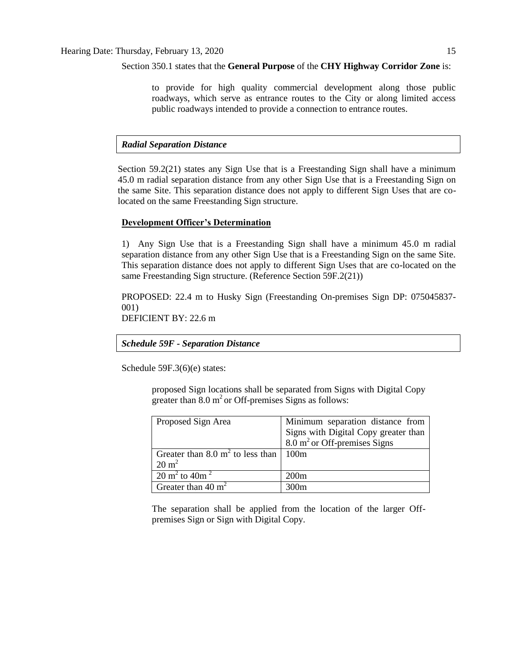Section 350.1 states that the **General Purpose** of the **CHY Highway Corridor Zone** is:

to provide for high quality commercial development along those public roadways, which serve as entrance routes to the City or along limited access public roadways intended to provide a connection to entrance routes.

### *Radial Separation Distance*

Section 59.2(21) states any Sign Use that is a Freestanding Sign shall have a minimum 45.0 m radial separation distance from any other Sign Use that is a Freestanding Sign on the same Site. This separation distance does not apply to different Sign Uses that are colocated on the same Freestanding Sign structure.

### **Development Officer's Determination**

1) Any Sign Use that is a Freestanding Sign shall have a minimum 45.0 m radial separation distance from any other Sign Use that is a Freestanding Sign on the same Site. This separation distance does not apply to different Sign Uses that are co-located on the same Freestanding Sign structure. (Reference Section 59F.2(21))

PROPOSED: 22.4 m to Husky Sign (Freestanding On-premises Sign DP: 075045837- 001)

DEFICIENT BY: 22.6 m

*Schedule 59F - Separation Distance*

Schedule 59F.3(6)(e) states:

proposed Sign locations shall be separated from Signs with Digital Copy greater than  $8.0 \text{ m}^2$  or Off-premises Signs as follows:

| Proposed Sign Area                                 | Minimum separation distance from        |
|----------------------------------------------------|-----------------------------------------|
|                                                    | Signs with Digital Copy greater than    |
|                                                    | $8.0 \text{ m}^2$ or Off-premises Signs |
| Greater than 8.0 $m^2$ to less than                | 100m                                    |
| $20 \text{ m}^2$                                   |                                         |
| $\overline{20}$ m <sup>2</sup> to 40m <sup>2</sup> | 200m                                    |
| Greater than $40 \text{ m}^2$                      | 300m                                    |

The separation shall be applied from the location of the larger Offpremises Sign or Sign with Digital Copy.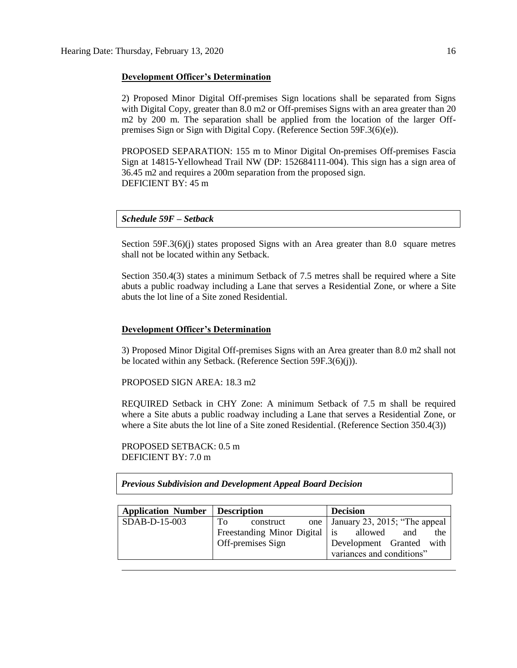#### **Development Officer's Determination**

2) Proposed Minor Digital Off-premises Sign locations shall be separated from Signs with Digital Copy, greater than 8.0 m<sub>2</sub> or Off-premises Signs with an area greater than 20 m2 by 200 m. The separation shall be applied from the location of the larger Offpremises Sign or Sign with Digital Copy. (Reference Section 59F.3(6)(e)).

PROPOSED SEPARATION: 155 m to Minor Digital On-premises Off-premises Fascia Sign at 14815-Yellowhead Trail NW (DP: 152684111-004). This sign has a sign area of 36.45 m2 and requires a 200m separation from the proposed sign. DEFICIENT BY: 45 m

# *Schedule 59F – Setback*

Section 59F.3(6)(j) states proposed Signs with an Area greater than 8.0 square metres shall not be located within any Setback.

Section 350.4(3) states a minimum Setback of 7.5 metres shall be required where a Site abuts a public roadway including a Lane that serves a Residential Zone, or where a Site abuts the lot line of a Site zoned Residential.

### **Development Officer's Determination**

3) Proposed Minor Digital Off-premises Signs with an Area greater than 8.0 m2 shall not be located within any Setback. (Reference Section 59F.3(6)(j)).

PROPOSED SIGN AREA: 18.3 m2

REQUIRED Setback in CHY Zone: A minimum Setback of 7.5 m shall be required where a Site abuts a public roadway including a Lane that serves a Residential Zone, or where a Site abuts the lot line of a Site zoned Residential. (Reference Section 350.4(3))

PROPOSED SETBACK: 0.5 m DEFICIENT BY:  $7.0 \text{ m}$ 

*Previous Subdivision and Development Appeal Board Decision*

| Application Number   Description |                                       | <b>Decision</b>                     |
|----------------------------------|---------------------------------------|-------------------------------------|
| SDAB-D-15-003                    | Tо<br>construct                       | one   January 23, 2015; "The appeal |
|                                  | Freestanding Minor Digital is allowed | and<br>the                          |
|                                  | Off-premises Sign                     | Development Granted with            |
|                                  |                                       | variances and conditions"           |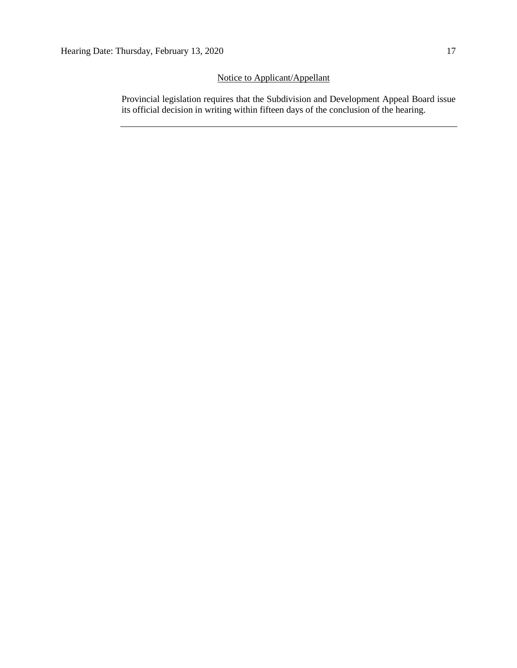# Notice to Applicant/Appellant

Provincial legislation requires that the Subdivision and Development Appeal Board issue its official decision in writing within fifteen days of the conclusion of the hearing.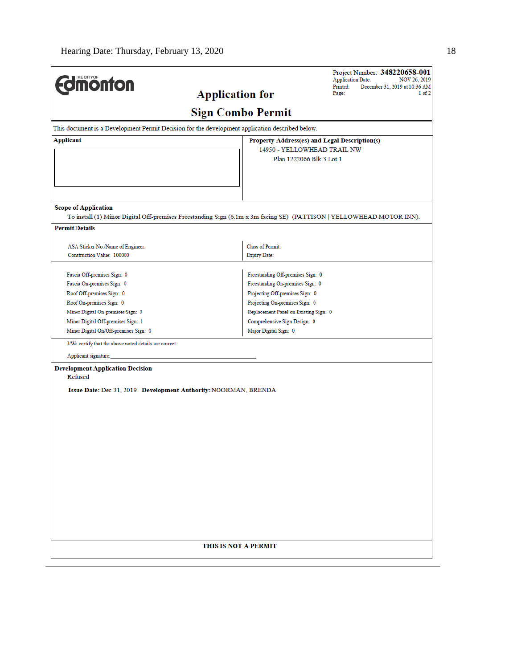| <b>Edmonton</b>                                                 | <b>Application for</b>                                                                                               | Project Number: 348220658-001<br><b>Application Date:</b><br>NOV 26, 2019<br>Printed:<br>December 31, 2019 at 10:36 AM<br>Page:<br>1 of 2 |
|-----------------------------------------------------------------|----------------------------------------------------------------------------------------------------------------------|-------------------------------------------------------------------------------------------------------------------------------------------|
|                                                                 | <b>Sign Combo Permit</b>                                                                                             |                                                                                                                                           |
|                                                                 | This document is a Development Permit Decision for the development application described below.                      |                                                                                                                                           |
| <b>Applicant</b>                                                | Property Address(es) and Legal Description(s)                                                                        |                                                                                                                                           |
|                                                                 | 14950 - YELLOWHEAD TRAIL NW                                                                                          |                                                                                                                                           |
|                                                                 | Plan 1222066 Blk 3 Lot 1                                                                                             |                                                                                                                                           |
| <b>Scope of Application</b>                                     | To install (1) Minor Digital Off-premises Freestanding Sign (6.1m x 3m facing SE) (PATTISON   YELLOWHEAD MOTOR INN). |                                                                                                                                           |
| <b>Permit Details</b>                                           |                                                                                                                      |                                                                                                                                           |
|                                                                 | Class of Permit:                                                                                                     |                                                                                                                                           |
| ASA Sticker No./Name of Engineer:<br>Construction Value: 100000 | <b>Expiry Date:</b>                                                                                                  |                                                                                                                                           |
|                                                                 |                                                                                                                      |                                                                                                                                           |
| Fascia Off-premises Sign: 0                                     | Freestanding Off-premises Sign: 0                                                                                    |                                                                                                                                           |
| Fascia On-premises Sign: 0                                      | Freestanding On-premises Sign: 0                                                                                     |                                                                                                                                           |
| Roof Off-premises Sign: 0                                       | Projecting Off-premises Sign: 0                                                                                      |                                                                                                                                           |
| Roof On-premises Sign: 0                                        | Projecting On-premises Sign: 0                                                                                       |                                                                                                                                           |
| Minor Digital On-premises Sign: 0                               | Replacement Panel on Existing Sign: 0                                                                                |                                                                                                                                           |
| Minor Digital Off-premises Sign: 1                              | Comprehensive Sign Design: 0                                                                                         |                                                                                                                                           |
| Minor Digital On/Off-premises Sign: 0                           | Major Digital Sign: 0                                                                                                |                                                                                                                                           |
| I/We certify that the above noted details are correct.          |                                                                                                                      |                                                                                                                                           |
| Applicant signature:                                            |                                                                                                                      |                                                                                                                                           |
| <b>Development Application Decision</b><br>Refused              |                                                                                                                      |                                                                                                                                           |
|                                                                 | Issue Date: Dec 31, 2019 Development Authority: NOORMAN, BRENDA                                                      |                                                                                                                                           |
|                                                                 |                                                                                                                      |                                                                                                                                           |
|                                                                 |                                                                                                                      |                                                                                                                                           |
|                                                                 |                                                                                                                      |                                                                                                                                           |
|                                                                 |                                                                                                                      |                                                                                                                                           |
|                                                                 |                                                                                                                      |                                                                                                                                           |
|                                                                 |                                                                                                                      |                                                                                                                                           |
|                                                                 |                                                                                                                      |                                                                                                                                           |
|                                                                 |                                                                                                                      |                                                                                                                                           |
|                                                                 |                                                                                                                      |                                                                                                                                           |
|                                                                 |                                                                                                                      |                                                                                                                                           |
|                                                                 |                                                                                                                      |                                                                                                                                           |
|                                                                 |                                                                                                                      |                                                                                                                                           |
|                                                                 |                                                                                                                      |                                                                                                                                           |
|                                                                 |                                                                                                                      |                                                                                                                                           |
|                                                                 |                                                                                                                      |                                                                                                                                           |
|                                                                 | THIS IS NOT A PERMIT                                                                                                 |                                                                                                                                           |
|                                                                 |                                                                                                                      |                                                                                                                                           |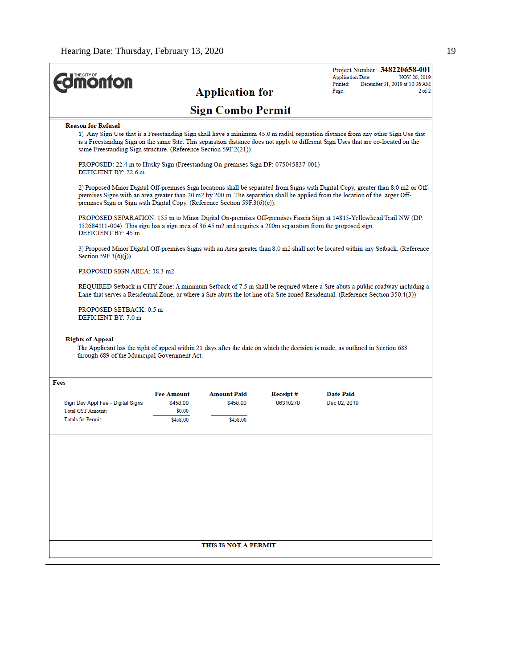| <b><i><u><b>MONTON</b></u></i></b>                                                                                                 |                               |                                |                      | Project Number: 348220658-001<br><b>Application Date:</b>                                                                                                                                                                                                             | NOV 26, 2019 |
|------------------------------------------------------------------------------------------------------------------------------------|-------------------------------|--------------------------------|----------------------|-----------------------------------------------------------------------------------------------------------------------------------------------------------------------------------------------------------------------------------------------------------------------|--------------|
|                                                                                                                                    |                               | <b>Application for</b>         |                      | Printed:<br>December 31, 2019 at 10:36 AM<br>Page:                                                                                                                                                                                                                    | $2$ of $2$   |
|                                                                                                                                    |                               |                                |                      |                                                                                                                                                                                                                                                                       |              |
|                                                                                                                                    |                               | <b>Sign Combo Permit</b>       |                      |                                                                                                                                                                                                                                                                       |              |
| <b>Reason for Refusal</b><br>same Freestanding Sign structure. (Reference Section 59F.2(21))                                       |                               |                                |                      | 1) Any Sign Use that is a Freestanding Sign shall have a minimum 45.0 m radial separation distance from any other Sign Use that<br>is a Freestanding Sign on the same Site. This separation distance does not apply to different Sign Uses that are co-located on the |              |
| PROPOSED: 22.4 m to Husky Sign (Freestanding On-premises Sign DP: 075045837-001)<br>DEFICIENT BY: 22.6 m                           |                               |                                |                      |                                                                                                                                                                                                                                                                       |              |
| premises Sign or Sign with Digital Copy. (Reference Section $59F.3(6)(e)$ ).                                                       |                               |                                |                      | 2) Proposed Minor Digital Off-premises Sign locations shall be separated from Signs with Digital Copy, greater than 8.0 m2 or Off-<br>premises Signs with an area greater than 20 m2 by 200 m. The separation shall be applied from the location of the larger Off-   |              |
| 152684111-004). This sign has a sign area of 36.45 m2 and requires a 200m separation from the proposed sign.<br>DEFICIENT BY: 45 m |                               |                                |                      | PROPOSED SEPARATION: 155 m to Minor Digital On-premises Off-premises Fascia Sign at 14815-Yellowhead Trail NW (DP:                                                                                                                                                    |              |
| Section 59F.3 $(6)(i)$ ).                                                                                                          |                               |                                |                      | 3) Proposed Minor Digital Off-premises Signs with an Area greater than 8.0 m2 shall not be located within any Setback. (Reference                                                                                                                                     |              |
| PROPOSED SIGN AREA: 18.3 m2                                                                                                        |                               |                                |                      |                                                                                                                                                                                                                                                                       |              |
|                                                                                                                                    |                               |                                |                      | REQUIRED Setback in CHY Zone: A minimum Setback of 7.5 m shall be required where a Site abuts a public roadway including a<br>Lane that serves a Residential Zone, or where a Site abuts the lot line of a Site zoned Residential. (Reference Section 350.4(3))       |              |
| PROPOSED SETBACK: 0.5 m                                                                                                            |                               |                                |                      |                                                                                                                                                                                                                                                                       |              |
| DEFICIENT BY: 7.0 m                                                                                                                |                               |                                |                      |                                                                                                                                                                                                                                                                       |              |
| <b>Rights of Appeal</b><br>through 689 of the Municipal Government Act.                                                            |                               |                                |                      | The Applicant has the right of appeal within 21 days after the date on which the decision is made, as outlined in Section 683                                                                                                                                         |              |
|                                                                                                                                    |                               |                                |                      |                                                                                                                                                                                                                                                                       |              |
| Fees                                                                                                                               |                               |                                |                      |                                                                                                                                                                                                                                                                       |              |
| Sign Dev Appl Fee - Digital Signs                                                                                                  | <b>Fee Amount</b><br>\$458.00 | <b>Amount Paid</b><br>\$458.00 | Receipt#<br>06310270 | Date Paid<br>Dec 02, 2019                                                                                                                                                                                                                                             |              |
| <b>Total GST Amount:</b><br><b>Totals for Permit:</b>                                                                              | \$0.00<br>\$458.00            | \$458.00                       |                      |                                                                                                                                                                                                                                                                       |              |
|                                                                                                                                    |                               |                                |                      |                                                                                                                                                                                                                                                                       |              |